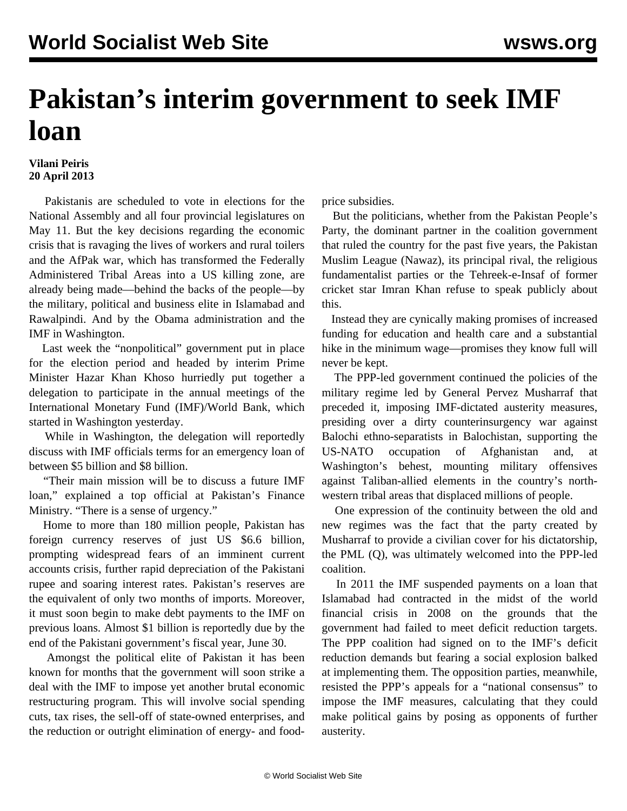## **Pakistan's interim government to seek IMF loan**

## **Vilani Peiris 20 April 2013**

 Pakistanis are scheduled to vote in elections for the National Assembly and all four provincial legislatures on May 11. But the key decisions regarding the economic crisis that is ravaging the lives of workers and rural toilers and the AfPak war, which has transformed the Federally Administered Tribal Areas into a US killing zone, are already being made—behind the backs of the people—by the military, political and business elite in Islamabad and Rawalpindi. And by the Obama administration and the IMF in Washington.

 Last week the "nonpolitical" government put in place for the election period and headed by interim Prime Minister Hazar Khan Khoso hurriedly put together a delegation to participate in the annual meetings of the International Monetary Fund (IMF)/World Bank, which started in Washington yesterday.

 While in Washington, the delegation will reportedly discuss with IMF officials terms for an emergency loan of between \$5 billion and \$8 billion.

 "Their main mission will be to discuss a future IMF loan," explained a top official at Pakistan's Finance Ministry. "There is a sense of urgency."

 Home to more than 180 million people, Pakistan has foreign currency reserves of just US \$6.6 billion, prompting widespread fears of an imminent current accounts crisis, further rapid depreciation of the Pakistani rupee and soaring interest rates. Pakistan's reserves are the equivalent of only two months of imports. Moreover, it must soon begin to make debt payments to the IMF on previous loans. Almost \$1 billion is reportedly due by the end of the Pakistani government's fiscal year, June 30.

 Amongst the political elite of Pakistan it has been known for months that the government will soon strike a deal with the IMF to impose yet another brutal economic restructuring program. This will involve social spending cuts, tax rises, the sell-off of state-owned enterprises, and the reduction or outright elimination of energy- and foodprice subsidies.

 But the politicians, whether from the Pakistan People's Party, the dominant partner in the coalition government that ruled the country for the past five years, the Pakistan Muslim League (Nawaz), its principal rival, the religious fundamentalist parties or the Tehreek-e-Insaf of former cricket star Imran Khan refuse to speak publicly about this.

 Instead they are cynically making promises of increased funding for education and health care and a substantial hike in the minimum wage—promises they know full will never be kept.

 The PPP-led government continued the policies of the military regime led by General Pervez Musharraf that preceded it, imposing IMF-dictated austerity measures, presiding over a dirty counterinsurgency war against Balochi ethno-separatists in Balochistan, supporting the US-NATO occupation of Afghanistan and, at Washington's behest, mounting military offensives against Taliban-allied elements in the country's northwestern tribal areas that displaced millions of people.

 One expression of the continuity between the old and new regimes was the fact that the party created by Musharraf to provide a civilian cover for his dictatorship, the PML (Q), was ultimately welcomed into the PPP-led coalition.

 In 2011 the IMF suspended payments on a loan that Islamabad had contracted in the midst of the world financial crisis in 2008 on the grounds that the government had failed to meet deficit reduction targets. The PPP coalition had signed on to the IMF's deficit reduction demands but fearing a social explosion balked at implementing them. The opposition parties, meanwhile, resisted the PPP's appeals for a "national consensus" to impose the IMF measures, calculating that they could make political gains by posing as opponents of further austerity.